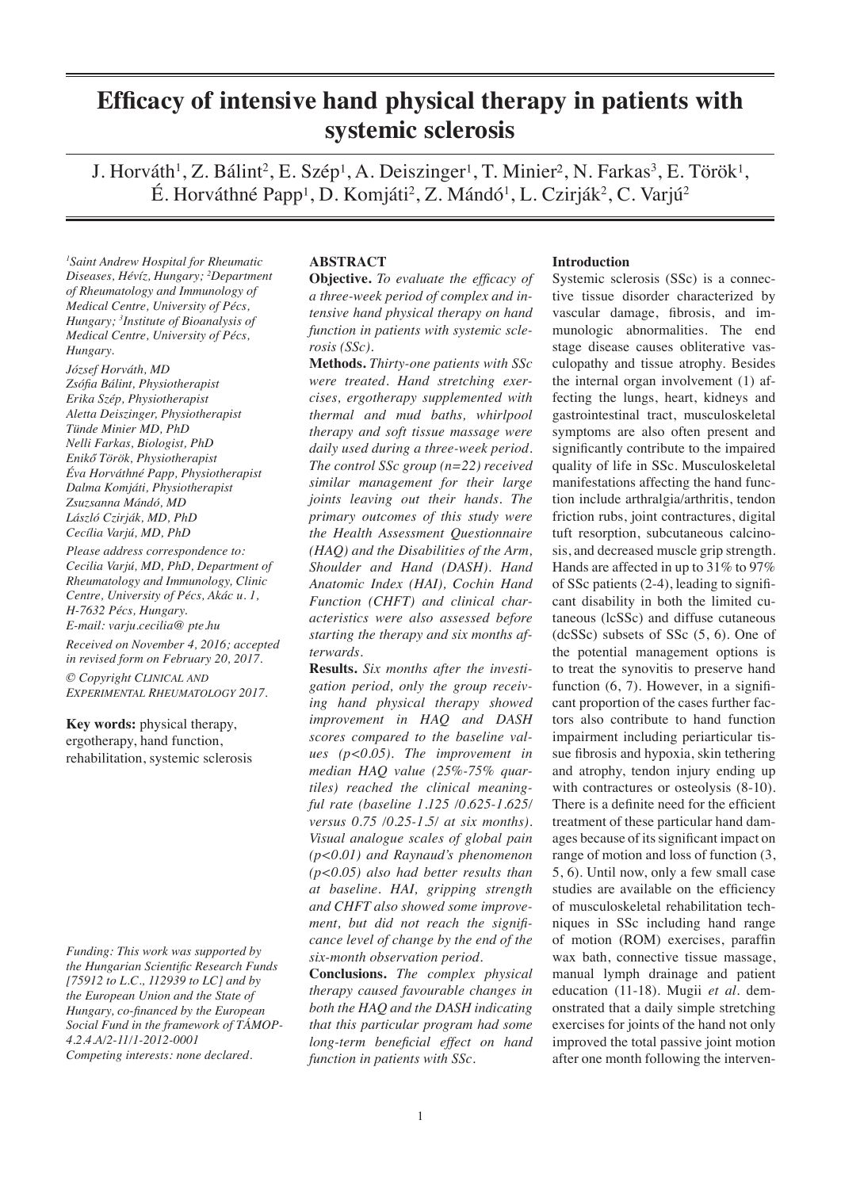# **Efficacy of intensive hand physical therapy in patients with systemic sclerosis**

J. Horváth<sup>1</sup>, Z. Bálint<sup>2</sup>, E. Szép<sup>1</sup>, A. Deiszinger<sup>1</sup>, T. Minier<sup>2</sup>, N. Farkas<sup>3</sup>, E. Török<sup>1</sup>, É. Horváthné Papp<sup>1</sup>, D. Komjáti<sup>2</sup>, Z. Mándó<sup>1</sup>, L. Czirják<sup>2</sup>, C. Varjú<sup>2</sup>

*1 Saint Andrew Hospital for Rheumatic Diseases, Hévíz, Hungary; 2 Department of Rheumatology and Immunology of Medical Centre, University of Pécs, Hungary; 3 Institute of Bioanalysis of Medical Centre, University of Pécs, Hungary.*

*József Horváth, MD Zsófia Bálint, Physiotherapist Erika Szép, Physiotherapist Aletta Deiszinger, Physiotherapist Tünde Minier MD, PhD Nelli Farkas, Biologist, PhD Enikő Török, Physiotherapist Éva Horváthné Papp, Physiotherapist Dalma Komjáti, Physiotherapist Zsuzsanna Mándó, MD László Czirják, MD, PhD Cecília Varjú, MD, PhD*

*Please address correspondence to: Cecilia Varjú, MD, PhD, Department of Rheumatology and Immunology, Clinic Centre, University of Pécs, Akác u. 1, H-7632 Pécs, Hungary. E-mail: varju.cecilia@ pte.hu Received on November 4, 2016; accepted in revised form on February 20, 2017.*

*© Copyright Clinical and Experimental Rheumatology 2017.*

**Key words:** physical therapy, ergotherapy, hand function, rehabilitation, systemic sclerosis

*Funding: This work was supported by the Hungarian Scientific Research Funds [75912 to L.C., 112939 to LC] and by the European Union and the State of Hungary, co-financed by the European Social Fund in the framework of TÁMOP-4.2.4.A/2-11/1-2012-0001 Competing interests: none declared.*

# **ABSTRACT**

**Objective.** *To evaluate the efficacy of a three-week period of complex and intensive hand physical therapy on hand function in patients with systemic sclerosis (SSc).*

**Methods.** *Thirty-one patients with SSc were treated. Hand stretching exercises, ergotherapy supplemented with thermal and mud baths, whirlpool therapy and soft tissue massage were daily used during a three-week period. The control SSc group (n=22) received similar management for their large joints leaving out their hands. The primary outcomes of this study were the Health Assessment Questionnaire (HAQ) and the Disabilities of the Arm, Shoulder and Hand (DASH). Hand Anatomic Index (HAI), Cochin Hand Function (CHFT) and clinical characteristics were also assessed before starting the therapy and six months afterwards.*

**Results.** *Six months after the investigation period, only the group receiving hand physical therapy showed improvement in HAQ and DASH scores compared to the baseline values (p<0.05). The improvement in median HAQ value (25%-75% quartiles) reached the clinical meaningful rate (baseline 1.125 /0.625-1.625/ versus 0.75 /0.25-1.5/ at six months). Visual analogue scales of global pain (p<0.01) and Raynaud's phenomenon (p<0.05) also had better results than at baseline. HAI, gripping strength and CHFT also showed some improvement, but did not reach the significance level of change by the end of the six-month observation period.*

**Conclusions.** *The complex physical therapy caused favourable changes in both the HAQ and the DASH indicating that this particular program had some long-term beneficial effect on hand function in patients with SSc.*

#### **Introduction**

Systemic sclerosis (SSc) is a connective tissue disorder characterized by vascular damage, fibrosis, and immunologic abnormalities. The end stage disease causes obliterative vasculopathy and tissue atrophy. Besides the internal organ involvement (1) affecting the lungs, heart, kidneys and gastrointestinal tract, musculoskeletal symptoms are also often present and significantly contribute to the impaired quality of life in SSc. Musculoskeletal manifestations affecting the hand function include arthralgia/arthritis, tendon friction rubs, joint contractures, digital tuft resorption, subcutaneous calcinosis, and decreased muscle grip strength. Hands are affected in up to 31% to 97% of SSc patients (2-4), leading to significant disability in both the limited cutaneous (lcSSc) and diffuse cutaneous (dcSSc) subsets of SSc (5, 6). One of the potential management options is to treat the synovitis to preserve hand function  $(6, 7)$ . However, in a significant proportion of the cases further factors also contribute to hand function impairment including periarticular tissue fibrosis and hypoxia, skin tethering and atrophy, tendon injury ending up with contractures or osteolysis  $(8-10)$ . There is a definite need for the efficient treatment of these particular hand damages because of its significant impact on range of motion and loss of function (3, 5, 6). Until now, only a few small case studies are available on the efficiency of musculoskeletal rehabilitation techniques in SSc including hand range of motion (ROM) exercises, paraffin wax bath, connective tissue massage, manual lymph drainage and patient education (11-18). Mugii *et al.* demonstrated that a daily simple stretching exercises for joints of the hand not only improved the total passive joint motion after one month following the interven-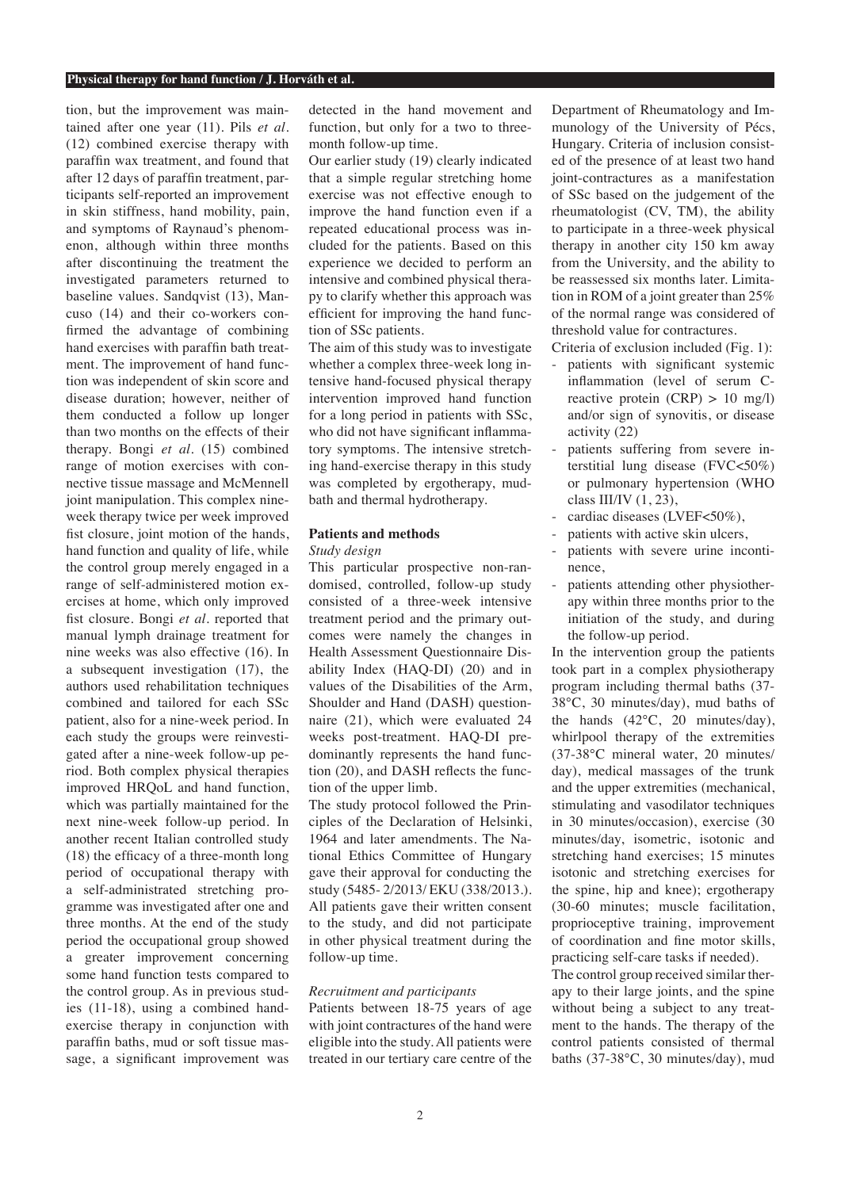tion, but the improvement was maintained after one year (11). Pils *et al.* (12) combined exercise therapy with paraffin wax treatment, and found that after 12 days of paraffin treatment, participants self-reported an improvement in skin stiffness, hand mobility, pain, and symptoms of Raynaud's phenomenon, although within three months after discontinuing the treatment the investigated parameters returned to baseline values. Sandqvist (13), Mancuso (14) and their co-workers confirmed the advantage of combining hand exercises with paraffin bath treatment. The improvement of hand function was independent of skin score and disease duration; however, neither of them conducted a follow up longer than two months on the effects of their therapy. Bongi *et al.* (15) combined range of motion exercises with connective tissue massage and McMennell joint manipulation. This complex nineweek therapy twice per week improved fist closure, joint motion of the hands, hand function and quality of life, while the control group merely engaged in a range of self-administered motion exercises at home, which only improved fist closure. Bongi *et al.* reported that manual lymph drainage treatment for nine weeks was also effective (16). In a subsequent investigation (17), the authors used rehabilitation techniques combined and tailored for each SSc patient, also for a nine-week period. In each study the groups were reinvestigated after a nine-week follow-up period. Both complex physical therapies improved HRQoL and hand function, which was partially maintained for the next nine-week follow-up period. In another recent Italian controlled study (18) the efficacy of a three-month long period of occupational therapy with a self-administrated stretching programme was investigated after one and three months. At the end of the study period the occupational group showed a greater improvement concerning some hand function tests compared to the control group. As in previous studies (11-18), using a combined handexercise therapy in conjunction with paraffin baths, mud or soft tissue massage, a significant improvement was

detected in the hand movement and function, but only for a two to threemonth follow-up time.

Our earlier study (19) clearly indicated that a simple regular stretching home exercise was not effective enough to improve the hand function even if a repeated educational process was included for the patients. Based on this experience we decided to perform an intensive and combined physical therapy to clarify whether this approach was efficient for improving the hand function of SSc patients.

The aim of this study was to investigate whether a complex three-week long intensive hand-focused physical therapy intervention improved hand function for a long period in patients with SSc, who did not have significant inflammatory symptoms. The intensive stretching hand-exercise therapy in this study was completed by ergotherapy, mudbath and thermal hydrotherapy.

## **Patients and methods**

## *Study design*

This particular prospective non-randomised, controlled, follow-up study consisted of a three-week intensive treatment period and the primary outcomes were namely the changes in Health Assessment Questionnaire Disability Index (HAQ-DI) (20) and in values of the Disabilities of the Arm, Shoulder and Hand (DASH) questionnaire (21), which were evaluated 24 weeks post-treatment. HAQ-DI predominantly represents the hand function (20), and DASH reflects the function of the upper limb.

The study protocol followed the Principles of the Declaration of Helsinki, 1964 and later amendments. The National Ethics Committee of Hungary gave their approval for conducting the study (5485- 2/2013/ EKU (338/2013.). All patients gave their written consent to the study, and did not participate in other physical treatment during the follow-up time.

# *Recruitment and participants*

Patients between 18-75 years of age with joint contractures of the hand were eligible into the study. All patients were treated in our tertiary care centre of the

Department of Rheumatology and Immunology of the University of Pécs, Hungary. Criteria of inclusion consisted of the presence of at least two hand joint-contractures as a manifestation of SSc based on the judgement of the rheumatologist (CV, TM), the ability to participate in a three-week physical therapy in another city 150 km away from the University, and the ability to be reassessed six months later. Limitation in ROM of a joint greater than 25% of the normal range was considered of threshold value for contractures. Criteria of exclusion included (Fig. 1):

- patients with significant systemic inflammation (level of serum Creactive protein  $(CRP) > 10$  mg/l) and/or sign of synovitis, or disease activity (22)
- patients suffering from severe interstitial lung disease (FVC<50%) or pulmonary hypertension (WHO class III/IV (1, 23),
- cardiac diseases (LVEF<50%).
- patients with active skin ulcers,
- patients with severe urine incontinence,
- patients attending other physiotherapy within three months prior to the initiation of the study, and during the follow-up period.

In the intervention group the patients took part in a complex physiotherapy program including thermal baths (37- 38°C, 30 minutes/day), mud baths of the hands (42°C, 20 minutes/day), whirlpool therapy of the extremities (37-38°C mineral water, 20 minutes/ day), medical massages of the trunk and the upper extremities (mechanical, stimulating and vasodilator techniques in 30 minutes/occasion), exercise (30 minutes/day, isometric, isotonic and stretching hand exercises; 15 minutes isotonic and stretching exercises for the spine, hip and knee); ergotherapy (30-60 minutes; muscle facilitation, proprioceptive training, improvement of coordination and fine motor skills, practicing self-care tasks if needed).

The control group received similar therapy to their large joints, and the spine without being a subject to any treatment to the hands. The therapy of the control patients consisted of thermal baths (37-38°C, 30 minutes/day), mud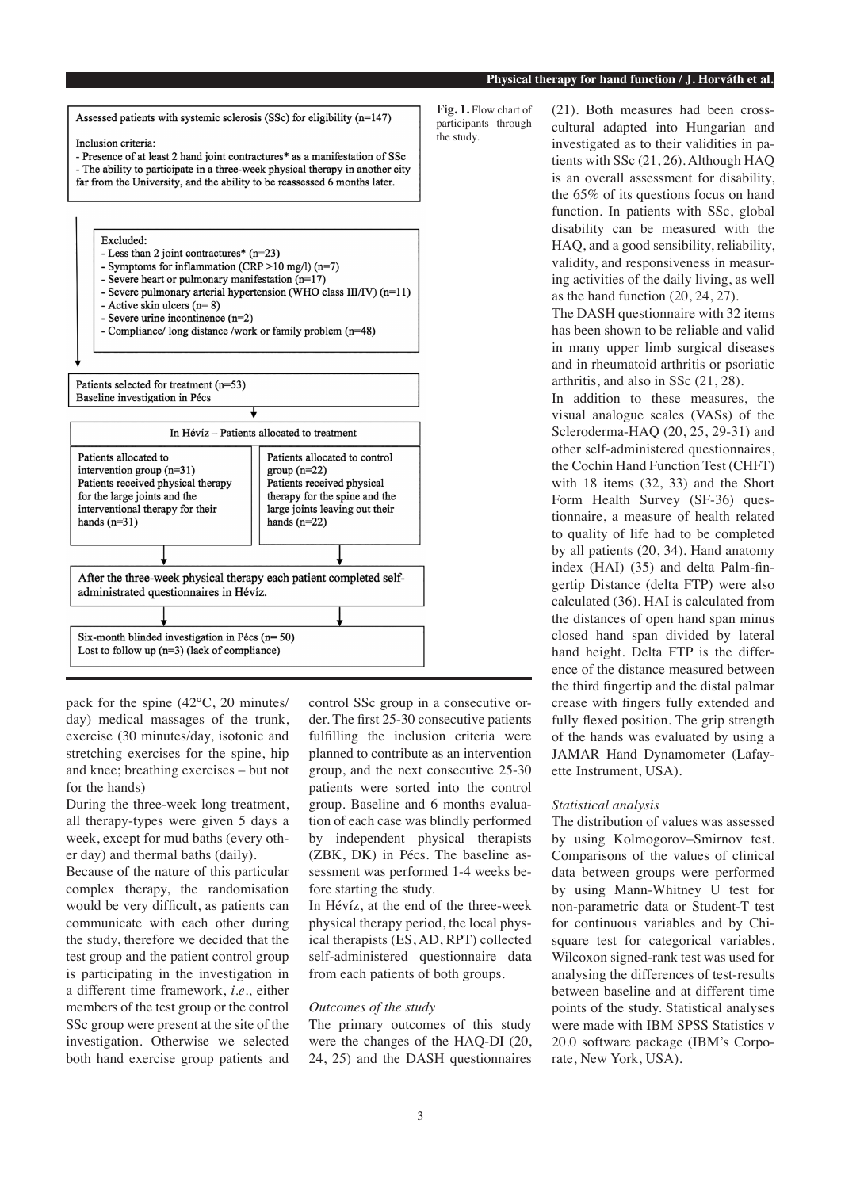Assessed patients with systemic sclerosis (SSc) for eligibility  $(n=147)$ 

Inclusion criteria:

- Presence of at least 2 hand joint contractures\* as a manifestation of SSc - The ability to participate in a three-week physical therapy in another city far from the University, and the ability to be reassessed  $6$  months later.



pack for the spine (42°C, 20 minutes/ day) medical massages of the trunk, exercise (30 minutes/day, isotonic and stretching exercises for the spine, hip and knee; breathing exercises – but not for the hands)

During the three-week long treatment, all therapy-types were given 5 days a week, except for mud baths (every other day) and thermal baths (daily).

Because of the nature of this particular complex therapy, the randomisation would be very difficult, as patients can communicate with each other during the study, therefore we decided that the test group and the patient control group is participating in the investigation in a different time framework, *i.e.*, either members of the test group or the control SSc group were present at the site of the investigation. Otherwise we selected both hand exercise group patients and

control SSc group in a consecutive order. The first 25-30 consecutive patients fulfilling the inclusion criteria were planned to contribute as an intervention group, and the next consecutive 25-30 patients were sorted into the control group. Baseline and 6 months evaluation of each case was blindly performed by independent physical therapists (ZBK, DK) in Pécs. The baseline assessment was performed 1-4 weeks before starting the study.

In Hévíz, at the end of the three-week physical therapy period, the local physical therapists (ES, AD, RPT) collected self-administered questionnaire data from each patients of both groups.

## *Outcomes of the study*

The primary outcomes of this study were the changes of the HAQ-DI (20, 24, 25) and the DASH questionnaires

**Fig. 1.** Flow chart of participants through the study.

(21). Both measures had been crosscultural adapted into Hungarian and investigated as to their validities in patients with SSc (21, 26). Although HAQ is an overall assessment for disability, the 65% of its questions focus on hand function. In patients with SSc, global disability can be measured with the HAQ, and a good sensibility, reliability, validity, and responsiveness in measuring activities of the daily living, as well as the hand function (20, 24, 27).

The DASH questionnaire with 32 items has been shown to be reliable and valid in many upper limb surgical diseases and in rheumatoid arthritis or psoriatic arthritis, and also in SSc (21, 28).

In addition to these measures, the visual analogue scales (VASs) of the Scleroderma-HAQ (20, 25, 29-31) and other self-administered questionnaires, the Cochin Hand Function Test (CHFT) with 18 items (32, 33) and the Short Form Health Survey (SF-36) questionnaire, a measure of health related to quality of life had to be completed by all patients (20, 34). Hand anatomy index (HAI) (35) and delta Palm-fingertip Distance (delta FTP) were also calculated (36). HAI is calculated from the distances of open hand span minus closed hand span divided by lateral hand height. Delta FTP is the difference of the distance measured between the third fingertip and the distal palmar crease with fingers fully extended and fully flexed position. The grip strength of the hands was evaluated by using a JAMAR Hand Dynamometer (Lafayette Instrument, USA).

## *Statistical analysis*

The distribution of values was assessed by using Kolmogorov–Smirnov test. Comparisons of the values of clinical data between groups were performed by using Mann-Whitney U test for non-parametric data or Student-T test for continuous variables and by Chisquare test for categorical variables. Wilcoxon signed-rank test was used for analysing the differences of test-results between baseline and at different time points of the study. Statistical analyses were made with IBM SPSS Statistics v 20.0 software package (IBM's Corporate, New York, USA).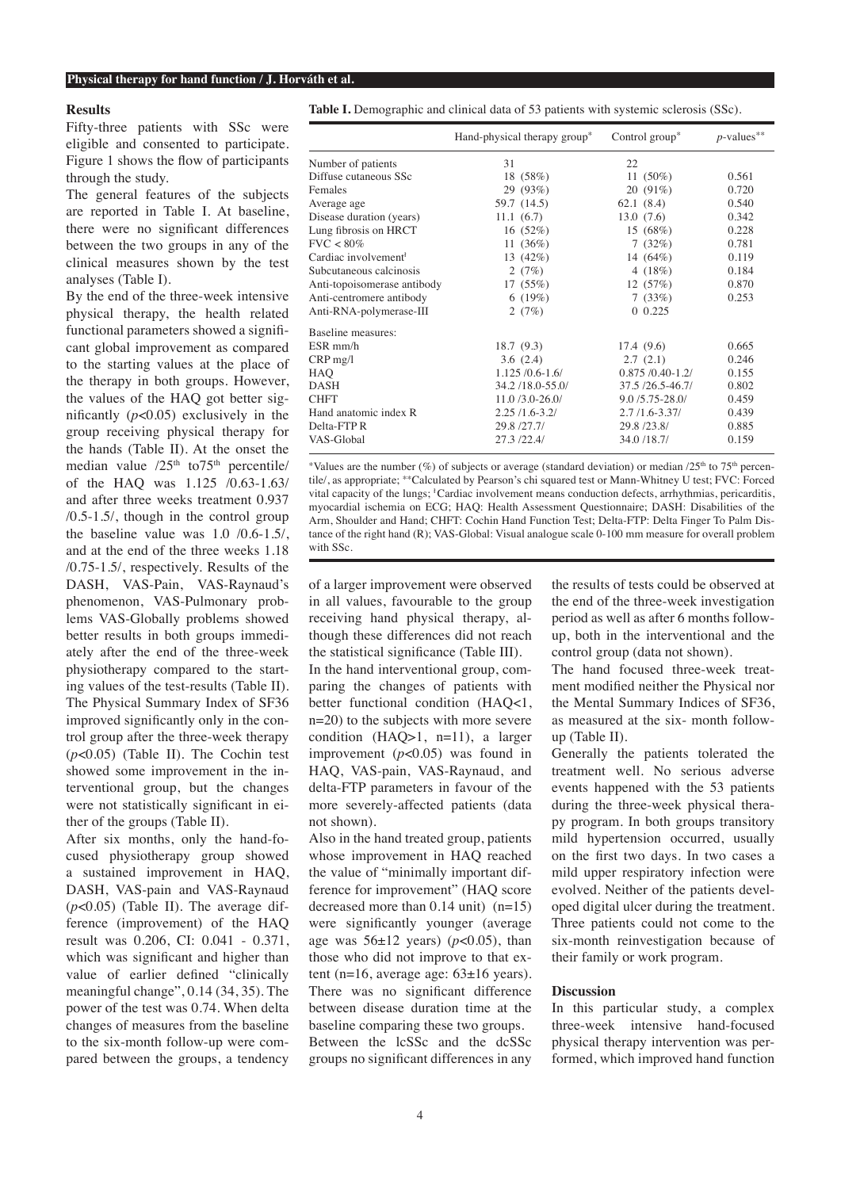## **Results**

Fifty-three patients with SSc were eligible and consented to participate. Figure 1 shows the flow of participants through the study.

The general features of the subjects are reported in Table I. At baseline, there were no significant differences between the two groups in any of the clinical measures shown by the test analyses (Table I).

By the end of the three-week intensive physical therapy, the health related functional parameters showed a significant global improvement as compared to the starting values at the place of the therapy in both groups. However, the values of the HAQ got better significantly (*p*<0.05) exclusively in the group receiving physical therapy for the hands (Table II). At the onset the median value  $/25<sup>th</sup>$  to  $75<sup>th</sup>$  percentile/ of the HAQ was 1.125 /0.63-1.63/ and after three weeks treatment 0.937 /0.5-1.5/, though in the control group the baseline value was 1.0 /0.6-1.5/, and at the end of the three weeks 1.18 /0.75-1.5/, respectively. Results of the DASH, VAS-Pain, VAS-Raynaud's phenomenon, VAS-Pulmonary problems VAS-Globally problems showed better results in both groups immediately after the end of the three-week physiotherapy compared to the starting values of the test-results (Table II). The Physical Summary Index of SF36 improved significantly only in the control group after the three-week therapy (*p*<0.05) (Table II). The Cochin test showed some improvement in the interventional group, but the changes were not statistically significant in either of the groups (Table II).

After six months, only the hand-focused physiotherapy group showed a sustained improvement in HAQ, DASH, VAS-pain and VAS-Raynaud (*p*<0.05) (Table II). The average difference (improvement) of the HAQ result was 0.206, CI: 0.041 - 0.371, which was significant and higher than value of earlier defined "clinically meaningful change", 0.14 (34, 35). The power of the test was 0.74. When delta changes of measures from the baseline to the six-month follow-up were compared between the groups, a tendency

**Table I.** Demographic and clinical data of 53 patients with systemic sclerosis (SSc).

|                                  | Hand-physical therapy group* | Control group*        | $p$ -values** |
|----------------------------------|------------------------------|-----------------------|---------------|
| Number of patients               | 31                           | 22                    |               |
| Diffuse cutaneous SSc            | 18 (58%)                     | 11 $(50\%)$           | 0.561         |
| Females                          | 29 (93%)                     | $20(91\%)$            | 0.720         |
| Average age                      | 59.7 (14.5)                  | 62.1(8.4)             | 0.540         |
| Disease duration (years)         | 11.1(6.7)                    | 13.0(7.6)             | 0.342         |
| Lung fibrosis on HRCT            | 16(52%)                      | 15(68%)               | 0.228         |
| $\text{FVC} < 80\%$              | 11 $(36%)$                   | 7(32%)                | 0.781         |
| Cardiac involvement <sup>t</sup> | 13 $(42%)$                   | 14 $(64\%)$           | 0.119         |
| Subcutaneous calcinosis          | 2 $(7%)$                     | 4 $(18%)$             | 0.184         |
| Anti-topoisomerase antibody      | 17(55%)                      | 12(57%)               | 0.870         |
| Anti-centromere antibody         | 6 $(19%)$                    | 7(33%)                | 0.253         |
| Anti-RNA-polymerase-III          | 2 $(7%)$                     | 0.0.225               |               |
| Baseline measures:               |                              |                       |               |
| ESR mm/h                         | 18.7(9.3)                    | 17.4(9.6)             | 0.665         |
| $CRP$ mg/l                       | 3.6(2.4)                     | 2.7(2.1)              | 0.246         |
| HAQ                              | $1.125/0.6 - 1.6/$           | $0.875/0.40 - 1.2/$   | 0.155         |
| DASH                             | $34.2 / 18.0 - 55.0/$        | $37.5 / 26.5 - 46.7/$ | 0.802         |
| <b>CHFT</b>                      | $11.0 / 3.0 - 26.0/$         | $9.0 / 5.75 - 28.0/$  | 0.459         |
| Hand anatomic index R            | $2.25/1.6 - 3.2/$            | $2.7/1.6 - 3.37/$     | 0.439         |
| Delta-FTP R                      | 29.8/27.7/                   | 29.8/23.8/            | 0.885         |
| VAS-Global                       | 27.3 /22.4/                  | 34.0/18.7/            | 0.159         |

\*Values are the number (%) of subjects or average (standard deviation) or median  $/25<sup>th</sup>$  to  $75<sup>th</sup>$  percentile/, as appropriate; \*\*Calculated by Pearson's chi squared test or Mann-Whitney U test; FVC: Forced vital capacity of the lungs; <sup>ł</sup>Cardiac involvement means conduction defects, arrhythmias, pericarditis, myocardial ischemia on ECG; HAQ: Health Assessment Questionnaire; DASH: Disabilities of the Arm, Shoulder and Hand; CHFT: Cochin Hand Function Test; Delta-FTP: Delta Finger To Palm Distance of the right hand (R); VAS-Global: Visual analogue scale 0-100 mm measure for overall problem with SSc.

of a larger improvement were observed in all values, favourable to the group receiving hand physical therapy, although these differences did not reach the statistical significance (Table III). In the hand interventional group, comparing the changes of patients with better functional condition (HAQ<1, n=20) to the subjects with more severe condition (HAQ>1, n=11), a larger improvement (*p*<0.05) was found in HAQ, VAS-pain, VAS-Raynaud, and delta-FTP parameters in favour of the more severely-affected patients (data not shown).

Also in the hand treated group, patients whose improvement in HAQ reached the value of "minimally important difference for improvement" (HAQ score decreased more than 0.14 unit) (n=15) were significantly younger (average age was  $56\pm12$  years) ( $p<0.05$ ), than those who did not improve to that extent (n=16, average age:  $63\pm16$  years). There was no significant difference between disease duration time at the baseline comparing these two groups. Between the lcSSc and the dcSSc groups no significant differences in any the results of tests could be observed at the end of the three-week investigation period as well as after 6 months followup, both in the interventional and the control group (data not shown).

The hand focused three-week treatment modified neither the Physical nor the Mental Summary Indices of SF36, as measured at the six- month followup (Table II).

Generally the patients tolerated the treatment well. No serious adverse events happened with the 53 patients during the three-week physical therapy program. In both groups transitory mild hypertension occurred, usually on the first two days. In two cases a mild upper respiratory infection were evolved. Neither of the patients developed digital ulcer during the treatment. Three patients could not come to the six-month reinvestigation because of their family or work program.

## **Discussion**

In this particular study, a complex three-week intensive hand-focused physical therapy intervention was performed, which improved hand function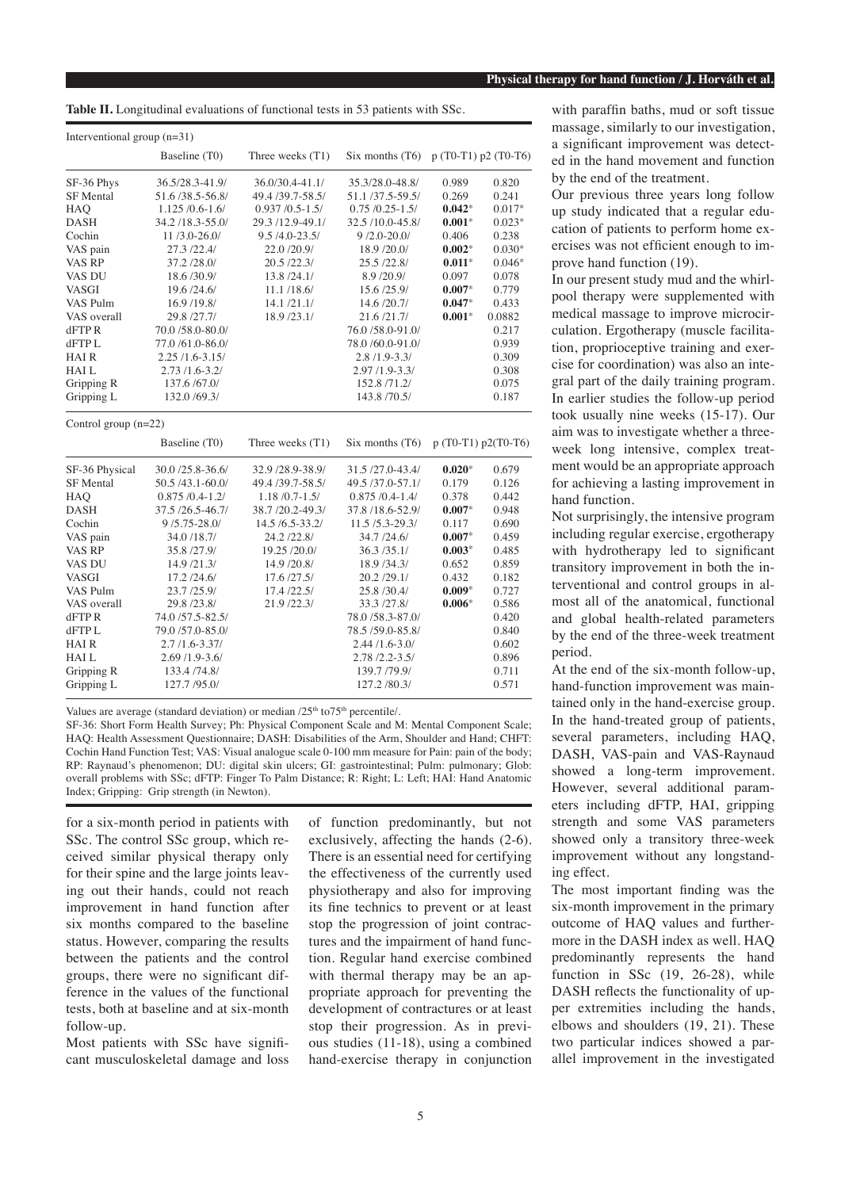**Table II.** Longitudinal evaluations of functional tests in 53 patients with SSc.

| Interventional group $(n=31)$ |                      |                      |                                            |          |          |  |
|-------------------------------|----------------------|----------------------|--------------------------------------------|----------|----------|--|
|                               | Baseline (T0)        | Three weeks (T1)     | Six months $(T6)$ p $(T0-T1)$ p2 $(T0-T6)$ |          |          |  |
| SF-36 Phys                    | 36.5/28.3-41.9/      | $36.0/30.4 - 41.1/$  | $35.3/28.0 - 48.8/$                        | 0.989    | 0.820    |  |
| <b>SF</b> Mental              | 51.6/38.5-56.8/      | 49.4 / 39.7 - 58.5 / | 51.1/37.5-59.5/                            | 0.269    | 0.241    |  |
| HAO                           | $1.125/0.6 - 1.6/$   | $0.937/0.5 - 1.5/$   | $0.75/0.25 - 1.5/$                         | $0.042*$ | $0.017*$ |  |
| <b>DASH</b>                   | 34.2/18.3-55.0/      | 29.3/12.9-49.1/      | 32.5/10.0-45.8/                            | $0.001*$ | $0.023*$ |  |
| Cochin                        | $11/3.0 - 26.0/$     | $9.5 / 4.0 - 23.5/$  | $9/2.0 - 20.0/$                            | 0.406    | 0.238    |  |
| VAS pain                      | 27.3/22.4/           | 22.0 /20.9/          | 18.9 /20.0/                                | $0.002*$ | $0.030*$ |  |
| VAS RP                        | 37.2 / 28.0/         | 20.5 / 22.3/         | 25.5/22.8/                                 | $0.011*$ | $0.046*$ |  |
| VAS DU                        | 18.6/30.9/           | 13.8/24.1/           | 8.9 / 20.9/                                | 0.097    | 0.078    |  |
| VASGI                         | 19.6 / 24.6/         | 11.1 / 18.6/         | 15.6/25.9/                                 | $0.007*$ | 0.779    |  |
| VAS Pulm                      | 16.9/19.8/           | 14.1 / 21.1/         | 14.6 / 20.7/                               | $0.047*$ | 0.433    |  |
| VAS overall                   | 29.8/27.7/           | 18.9/23.1/           | 21.6 / 21.7/                               | $0.001*$ | 0.0882   |  |
| dFTP <sub>R</sub>             | 70.0 / 58.0 - 80.0 / |                      | 76.0 / 58.0 - 91.0 /                       |          | 0.217    |  |
| dFTP L                        | 77.0 /61.0-86.0/     |                      | 78.0 /60.0-91.0/                           |          | 0.939    |  |
| <b>HAIR</b>                   | $2.25/1.6 - 3.15/$   |                      | $2.8/1.9 - 3.3/$                           |          | 0.309    |  |
| <b>HAIL</b>                   | $2.73/1.6 - 3.2/$    |                      | $2.97/1.9 - 3.3/$                          |          | 0.308    |  |
| Gripping R                    | 137.6/67.0/          |                      | 152.8/71.2/                                |          | 0.075    |  |
| Gripping L                    | 132.0/69.3/          |                      | 143.8/70.5/                                |          | 0.187    |  |
| Control group $(n=22)$        |                      |                      |                                            |          |          |  |

Baseline (T0) Three weeks (T1) Six months (T6) p (T0-T1) p2(T0-T6) SF-36 Physical 30.0 /25.8-36.6/ 32.9 /28.9-38.9/ 31.5 /27.0-43.4/ **0.020**\* 0.679 SF Mental 50.5 /43.1-60.0/ 49.4 /39.7-58.5/ 49.5 /37.0-57.1/ 0.179 0.126 HAQ 0.875 /0.4-1.2/ 1.18 /0.7-1.5/ 0.875 /0.4-1.4/ 0.378 0.442 DASH 37.5 /26.5-46.7/ 38.7 /20.2-49.3/ 37.8 /18.6-52.9/ **0.007**\* 0.948<br>Cochin 9 /5.75-28.0/ 14.5 /6.5-33.2/ 11.5 /5.3-29.3/ 0.117 0.690  $11.5 / 5.3 - 29.3/$ VAS pain 34.0 /18.7/ 24.2 /22.8/ 34.7 /24.6/ **0.007**\* 0.459 VAS RP 35.8 /27.9/ 19.25 /20.0/ 36.3 /35.1/ **0.003**\* 0.485<br>VAS DU 14.9 /21.3/ 14.9 /20.8/ 18.9 /34.3/ 0.652 0.859 VAS DU 14.9 /21.3/ 14.9 /20.8/ 18.9 /34.3/ 0.652 0.859 VASGI 17.2 /24.6/ 17.6 /27.5/ 20.2 /29.1/ 0.432 0.182 VAS Pulm 23.7 /25.9/ 17.4 /22.5/ 25.8 /30.4/ **0.009**\* 0.727 VAS overall 29.8 /23.8/ 21.9 /22.3/ 33.3 /27.8/ **0.006**\* 0.586 dFTP R 74.0 /57.5-82.5/ 78.0 / 78.0 / 58.3-87.0/ 0.420 dFTP L 79.0 /57.0-85.0/ 78.5 /59.0-85.8/ 0.840 HAI R 2.7 /1.6-3.37/ 2.44 /1.6-3.0/ 0.602 HAI L 2.69 /1.9-3.6/ 2.78 /2.2-3.5/ 0.896<br>Gripping R 133 4 /74 8/ 139 7 /79 9/ 0.711 Gripping R 133.4 /74.8/ 139.7 /79.9/ 0.711<br>Gripping L 127.7 /95.0/ 127.2 /80.3/ 0.571 Gripping L 127.7 /95.0/

Values are average (standard deviation) or median /25<sup>th</sup> to75<sup>th</sup> percentile/.

SF-36: Short Form Health Survey; Ph: Physical Component Scale and M: Mental Component Scale; HAQ: Health Assessment Questionnaire; DASH: Disabilities of the Arm, Shoulder and Hand; CHFT: Cochin Hand Function Test; VAS: Visual analogue scale 0-100 mm measure for Pain: pain of the body; RP: Raynaud's phenomenon; DU: digital skin ulcers; GI: gastrointestinal; Pulm: pulmonary; Glob: overall problems with SSc; dFTP: Finger To Palm Distance; R: Right; L: Left; HAI: Hand Anatomic Index; Gripping: Grip strength (in Newton).

for a six-month period in patients with SSc. The control SSc group, which received similar physical therapy only for their spine and the large joints leaving out their hands, could not reach improvement in hand function after six months compared to the baseline status. However, comparing the results between the patients and the control groups, there were no significant difference in the values of the functional tests, both at baseline and at six-month follow-up.

Most patients with SSc have significant musculoskeletal damage and loss of function predominantly, but not exclusively, affecting the hands (2-6). There is an essential need for certifying the effectiveness of the currently used physiotherapy and also for improving its fine technics to prevent or at least stop the progression of joint contractures and the impairment of hand function. Regular hand exercise combined with thermal therapy may be an appropriate approach for preventing the development of contractures or at least stop their progression. As in previous studies (11-18), using a combined hand-exercise therapy in conjunction with paraffin baths, mud or soft tissue massage, similarly to our investigation, a significant improvement was detected in the hand movement and function by the end of the treatment.

Our previous three years long follow up study indicated that a regular education of patients to perform home exercises was not efficient enough to improve hand function (19).

In our present study mud and the whirlpool therapy were supplemented with medical massage to improve microcirculation. Ergotherapy (muscle facilitation, proprioceptive training and exercise for coordination) was also an integral part of the daily training program. In earlier studies the follow-up period took usually nine weeks (15-17). Our aim was to investigate whether a threeweek long intensive, complex treatment would be an appropriate approach for achieving a lasting improvement in hand function.

Not surprisingly, the intensive program including regular exercise, ergotherapy with hydrotherapy led to significant transitory improvement in both the interventional and control groups in almost all of the anatomical, functional and global health-related parameters by the end of the three-week treatment period.

At the end of the six-month follow-up, hand-function improvement was maintained only in the hand-exercise group. In the hand-treated group of patients, several parameters, including HAQ, DASH, VAS-pain and VAS-Raynaud showed a long-term improvement. However, several additional parameters including dFTP, HAI, gripping strength and some VAS parameters showed only a transitory three-week improvement without any longstanding effect.

The most important finding was the six-month improvement in the primary outcome of HAQ values and furthermore in the DASH index as well. HAQ predominantly represents the hand function in SSc (19, 26-28), while DASH reflects the functionality of upper extremities including the hands, elbows and shoulders (19, 21). These two particular indices showed a parallel improvement in the investigated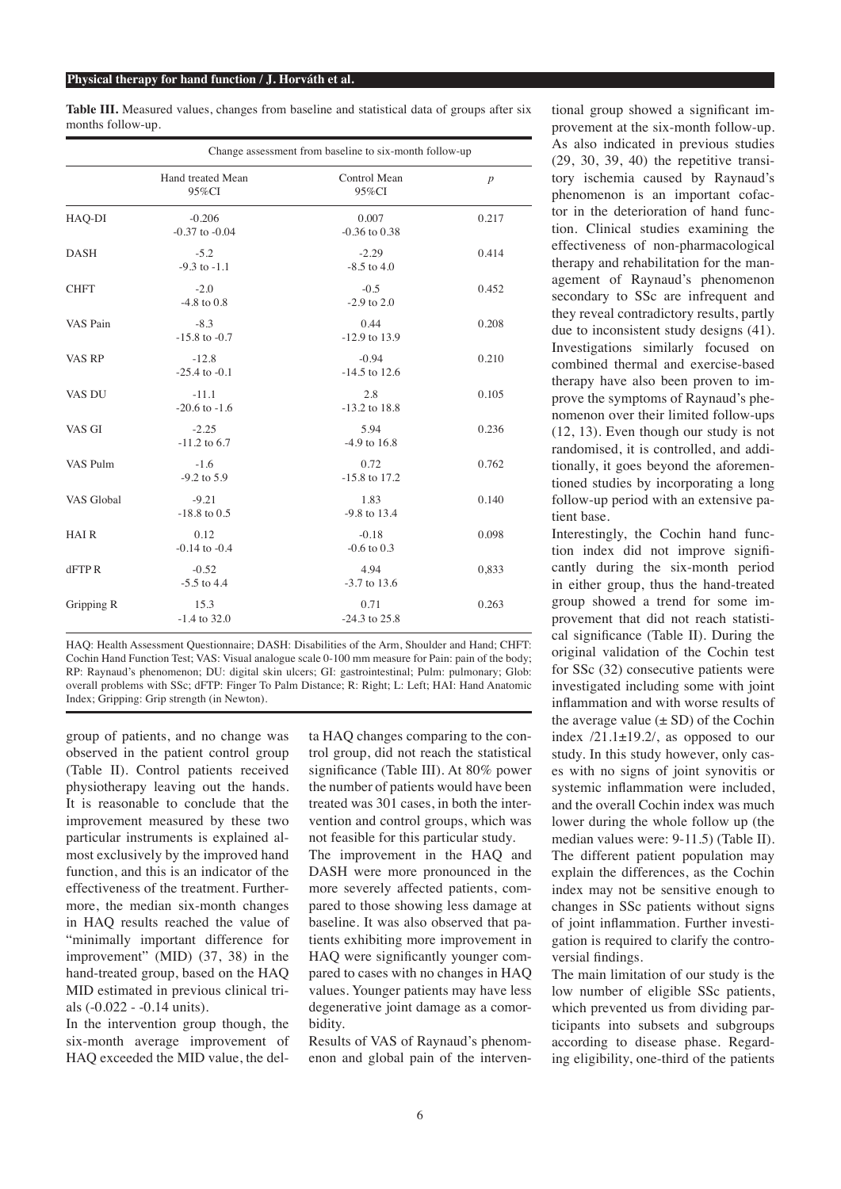|                   | Change assessment from baseline to six-month follow-up |                            |                |  |  |
|-------------------|--------------------------------------------------------|----------------------------|----------------|--|--|
|                   | Hand treated Mean<br>95%CI                             | Control Mean<br>95%CI      | $\overline{p}$ |  |  |
| HAQ-DI            | $-0.206$<br>$-0.37$ to $-0.04$                         | 0.007<br>$-0.36$ to $0.38$ | 0.217          |  |  |
| <b>DASH</b>       | $-5.2$<br>$-9.3$ to $-1.1$                             | $-2.29$<br>$-8.5$ to 4.0   | 0.414          |  |  |
| <b>CHFT</b>       | $-2.0$<br>$-4.8$ to 0.8                                | $-0.5$<br>$-2.9$ to 2.0    | 0.452          |  |  |
| <b>VAS Pain</b>   | $-8.3$<br>$-15.8$ to $-0.7$                            | 0.44<br>$-12.9$ to 13.9    | 0.208          |  |  |
| VAS RP            | $-12.8$<br>$-25.4$ to $-0.1$                           | $-0.94$<br>$-14.5$ to 12.6 | 0.210          |  |  |
| VAS DU            | $-11.1$<br>$-20.6$ to $-1.6$                           | 2.8<br>$-13.2$ to 18.8     | 0.105          |  |  |
| VAS GI            | $-2.25$<br>$-11.2$ to 6.7                              | 5.94<br>$-4.9$ to 16.8     | 0.236          |  |  |
| VAS Pulm          | $-1.6$<br>$-9.2$ to 5.9                                | 0.72<br>$-15.8$ to 17.2    | 0.762          |  |  |
| VAS Global        | $-9.21$<br>$-18.8$ to 0.5                              | 1.83<br>$-9.8$ to 13.4     | 0.140          |  |  |
| <b>HAIR</b>       | 0.12<br>$-0.14$ to $-0.4$                              | $-0.18$<br>$-0.6$ to 0.3   | 0.098          |  |  |
| dFTP <sub>R</sub> | $-0.52$<br>$-5.5$ to 4.4                               | 4.94<br>$-3.7$ to 13.6     | 0,833          |  |  |
| Gripping R        | 15.3<br>$-1.4$ to 32.0                                 | 0.71<br>$-24.3$ to 25.8    | 0.263          |  |  |

**Table III.** Measured values, changes from baseline and statistical data of groups after six months follow-up.

HAQ: Health Assessment Questionnaire; DASH: Disabilities of the Arm, Shoulder and Hand; CHFT: Cochin Hand Function Test; VAS: Visual analogue scale 0-100 mm measure for Pain: pain of the body; RP: Raynaud's phenomenon; DU: digital skin ulcers; GI: gastrointestinal; Pulm: pulmonary; Glob: overall problems with SSc; dFTP: Finger To Palm Distance; R: Right; L: Left; HAI: Hand Anatomic Index; Gripping: Grip strength (in Newton).

group of patients, and no change was observed in the patient control group (Table II). Control patients received physiotherapy leaving out the hands. It is reasonable to conclude that the improvement measured by these two particular instruments is explained almost exclusively by the improved hand function, and this is an indicator of the effectiveness of the treatment. Furthermore, the median six-month changes in HAQ results reached the value of "minimally important difference for improvement" (MID) (37, 38) in the hand-treated group, based on the HAQ MID estimated in previous clinical trials (-0.022 - -0.14 units).

In the intervention group though, the six-month average improvement of HAQ exceeded the MID value, the delta HAQ changes comparing to the control group, did not reach the statistical significance (Table III). At 80% power the number of patients would have been treated was 301 cases, in both the intervention and control groups, which was not feasible for this particular study.

The improvement in the HAQ and DASH were more pronounced in the more severely affected patients, compared to those showing less damage at baseline. It was also observed that patients exhibiting more improvement in HAQ were significantly younger compared to cases with no changes in HAQ values. Younger patients may have less degenerative joint damage as a comorbidity.

Results of VAS of Raynaud's phenomenon and global pain of the interven-

tional group showed a significant improvement at the six-month follow-up. As also indicated in previous studies (29, 30, 39, 40) the repetitive transitory ischemia caused by Raynaud's phenomenon is an important cofactor in the deterioration of hand function. Clinical studies examining the effectiveness of non-pharmacological therapy and rehabilitation for the management of Raynaud's phenomenon secondary to SSc are infrequent and they reveal contradictory results, partly due to inconsistent study designs (41). Investigations similarly focused on combined thermal and exercise-based therapy have also been proven to improve the symptoms of Raynaud's phenomenon over their limited follow-ups (12, 13). Even though our study is not randomised, it is controlled, and additionally, it goes beyond the aforementioned studies by incorporating a long follow-up period with an extensive patient base.

Interestingly, the Cochin hand function index did not improve significantly during the six-month period in either group, thus the hand-treated group showed a trend for some improvement that did not reach statistical significance (Table II). During the original validation of the Cochin test for SSc (32) consecutive patients were investigated including some with joint inflammation and with worse results of the average value  $(\pm SD)$  of the Cochin index  $/21.1 \pm 19.2/$ , as opposed to our study. In this study however, only cases with no signs of joint synovitis or systemic inflammation were included, and the overall Cochin index was much lower during the whole follow up (the median values were: 9-11.5) (Table II). The different patient population may explain the differences, as the Cochin index may not be sensitive enough to changes in SSc patients without signs of joint inflammation. Further investigation is required to clarify the controversial findings.

The main limitation of our study is the low number of eligible SSc patients, which prevented us from dividing participants into subsets and subgroups according to disease phase. Regarding eligibility, one-third of the patients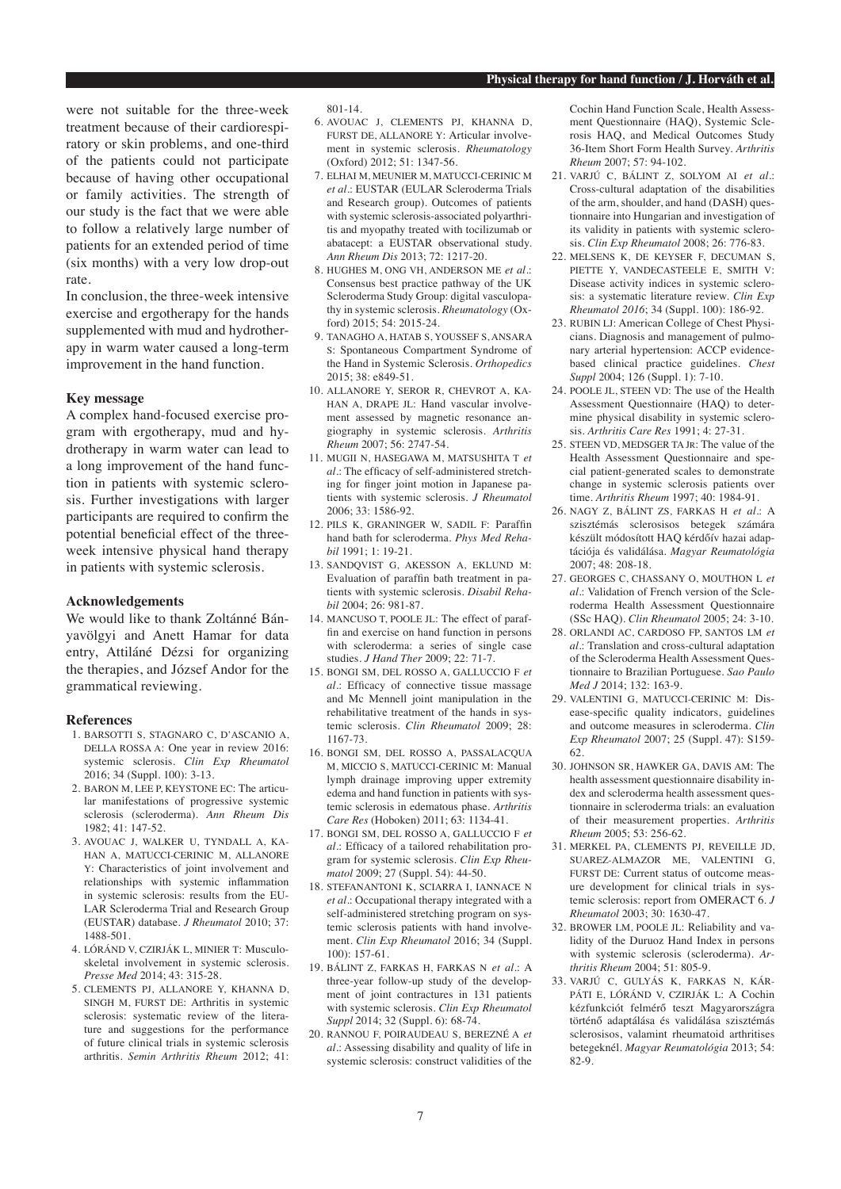were not suitable for the three-week treatment because of their cardiorespiratory or skin problems, and one-third of the patients could not participate because of having other occupational or family activities. The strength of our study is the fact that we were able to follow a relatively large number of patients for an extended period of time (six months) with a very low drop-out rate.

In conclusion, the three-week intensive exercise and ergotherapy for the hands supplemented with mud and hydrotherapy in warm water caused a long-term improvement in the hand function.

# **Key message**

A complex hand-focused exercise program with ergotherapy, mud and hydrotherapy in warm water can lead to a long improvement of the hand function in patients with systemic sclerosis. Further investigations with larger participants are required to confirm the potential beneficial effect of the threeweek intensive physical hand therapy in patients with systemic sclerosis.

## **Acknowledgements**

We would like to thank Zoltánné Bányavölgyi and Anett Hamar for data entry, Attiláné Dézsi for organizing the therapies, and József Andor for the grammatical reviewing.

#### **References**

- 1. BARSOTTI S, STAGNARO C, D'ASCANIO A, DELLA ROSSA A: One year in review 2016: systemic sclerosis. *Clin Exp Rheumatol*  2016; 34 (Suppl. 100): 3-13.
- 2. BARON M, LEE P, KEYSTONE EC: The articular manifestations of progressive systemic sclerosis (scleroderma). *Ann Rheum Dis* 1982; 41: 147-52.
- 3. AVOUAC J, WALKER U, TYNDALL A, KA-HAN A, MATUCCI-CERINIC M, ALLANORE Y: Characteristics of joint involvement and relationships with systemic inflammation in systemic sclerosis: results from the EU-LAR Scleroderma Trial and Research Group (EUSTAR) database. *J Rheumatol* 2010; 37: 1488-501.
- 4. LÓRÁND V, CZIRJÁK L, MINIER T: Musculoskeletal involvement in systemic sclerosis. *Presse Med* 2014; 43: 315-28.
- 5. CLEMENTS PJ, ALLANORE Y, KHANNA D, SINGH M, FURST DE: Arthritis in systemic sclerosis: systematic review of the literature and suggestions for the performance of future clinical trials in systemic sclerosis arthritis. *Semin Arthritis Rheum* 2012; 41:

801-14.

- 6. AVOUAC J, CLEMENTS PJ, KHANNA D, FURST DE, ALLANORE Y: Articular involvement in systemic sclerosis. *Rheumatology*  (Oxford) 2012; 51: 1347-56.
- 7. ELHAI M, MEUNIER M, MATUCCI-CERINIC M *et al.*: EUSTAR (EULAR Scleroderma Trials and Research group). Outcomes of patients with systemic sclerosis-associated polyarthritis and myopathy treated with tocilizumab or abatacept: a EUSTAR observational study. *Ann Rheum Dis* 2013; 72: 1217-20.
- 8. HUGHES M, ONG VH, ANDERSON ME *et al.*: Consensus best practice pathway of the UK Scleroderma Study Group: digital vasculopathy in systemic sclerosis. *Rheumatology* (Oxford) 2015; 54: 2015-24.
- 9. TANAGHO A, HATAB S, YOUSSEF S, ANSARA S: Spontaneous Compartment Syndrome of the Hand in Systemic Sclerosis. *Orthopedics*  2015; 38: e849-51.
- 10. ALLANORE Y, SEROR R, CHEVROT A, KA-HAN A, DRAPE JL: Hand vascular involvement assessed by magnetic resonance angiography in systemic sclerosis. *Arthritis Rheum* 2007; 56: 2747-54.
- 11. MUGII N, HASEGAWA M, MATSUSHITA T *et al.*: The efficacy of self-administered stretching for finger joint motion in Japanese patients with systemic sclerosis. *J Rheumatol* 2006; 33: 1586-92.
- 12. PILS K, GRANINGER W, SADIL F: Paraffin hand bath for scleroderma. *Phys Med Rehabil* 1991; 1: 19-21.
- 13. SANDQVIST G, AKESSON A, EKLUND M: Evaluation of paraffin bath treatment in patients with systemic sclerosis. *Disabil Rehabil* 2004; 26: 981-87.
- 14. MANCUSO T, POOLE JL: The effect of paraffin and exercise on hand function in persons with scleroderma: a series of single case studies. *J Hand Ther* 2009; 22: 71-7.
- 15. BONGI SM, DEL ROSSO A, GALLUCCIO F *et al.*: Efficacy of connective tissue massage and Mc Mennell joint manipulation in the rehabilitative treatment of the hands in systemic sclerosis. *Clin Rheumatol* 2009; 28: 1167-73.
- 16. BONGI SM, DEL ROSSO A, PASSALACQUA M, MICCIO S, MATUCCI-CERINIC M: Manual lymph drainage improving upper extremity edema and hand function in patients with systemic sclerosis in edematous phase. *Arthritis Care Res* (Hoboken) 2011; 63: 1134-41.
- 17. BONGI SM, DEL ROSSO A, GALLUCCIO F *et al.*: Efficacy of a tailored rehabilitation program for systemic sclerosis. *Clin Exp Rheumatol* 2009; 27 (Suppl. 54): 44-50.
- 18. STEFANANTONI K, SCIARRA I, IANNACE N *et al.*: Occupational therapy integrated with a self-administered stretching program on systemic sclerosis patients with hand involvement. *Clin Exp Rheumatol* 2016; 34 (Suppl. 100): 157-61.
- 19. BÁLINT Z, FARKAS H, FARKAS N *et al.*: A three-year follow-up study of the development of joint contractures in 131 patients with systemic sclerosis. *Clin Exp Rheumatol Suppl* 2014; 32 (Suppl. 6): 68-74.
- 20. RANNOU F, POIRAUDEAU S, BEREZNÉ A *et al.*: Assessing disability and quality of life in systemic sclerosis: construct validities of the

Cochin Hand Function Scale, Health Assessment Questionnaire (HAQ), Systemic Sclerosis HAQ, and Medical Outcomes Study 36-Item Short Form Health Survey. *Arthritis Rheum* 2007; 57: 94-102.

- 21. VARJÚ C, BÁLINT Z, SOLYOM AI *et al.*: Cross-cultural adaptation of the disabilities of the arm, shoulder, and hand (DASH) questionnaire into Hungarian and investigation of its validity in patients with systemic sclerosis. *Clin Exp Rheumatol* 2008; 26: 776-83.
- 22. MELSENS K, DE KEYSER F, DECUMAN S, PIETTE Y, VANDECASTEELE E, SMITH V: Disease activity indices in systemic sclerosis: a systematic literature review. *Clin Exp Rheumatol 2016*; 34 (Suppl. 100): 186-92.
- 23. RUBIN LJ: American College of Chest Physicians. Diagnosis and management of pulmonary arterial hypertension: ACCP evidencebased clinical practice guidelines. *Chest Suppl* 2004; 126 (Suppl. 1): 7-10.
- 24. POOLE JL, STEEN VD: The use of the Health Assessment Questionnaire (HAQ) to determine physical disability in systemic sclerosis. *Arthritis Care Res* 1991; 4: 27-31.
- 25. STEEN VD, MEDSGER TA Jr: The value of the Health Assessment Questionnaire and special patient-generated scales to demonstrate change in systemic sclerosis patients over time. *Arthritis Rheum* 1997; 40: 1984-91.
- 26. NAGY Z, BÁLINT ZS, FARKAS H *et al.*: A szisztémás sclerosisos betegek számára készült módosított HAQ kérdőív hazai adaptációja és validálása. *Magyar Reumatológia* 2007; 48: 208-18.
- 27. GEORGES C, CHASSANY O, MOUTHON L *et al.*: Validation of French version of the Scleroderma Health Assessment Questionnaire (SSc HAQ). *Clin Rheumatol* 2005; 24: 3-10.
- 28. ORLANDI AC, CARDOSO FP, SANTOS LM *et al.*: Translation and cross-cultural adaptation of the Scleroderma Health Assessment Questionnaire to Brazilian Portuguese. *Sao Paulo Med J* 2014; 132: 163-9.
- 29. VALENTINI G, MATUCCI-CERINIC M: Disease-specific quality indicators, guidelines and outcome measures in scleroderma. *Clin Exp Rheumatol* 2007; 25 (Suppl. 47): S159- 62.
- 30. JOHNSON SR, HAWKER GA, DAVIS AM: The health assessment questionnaire disability index and scleroderma health assessment questionnaire in scleroderma trials: an evaluation of their measurement properties. *Arthritis Rheum* 2005; 53: 256-62.
- 31. MERKEL PA, CLEMENTS PJ, REVEILLE JD, SUAREZ-ALMAZOR ME, VALENTINI G, FURST DE: Current status of outcome measure development for clinical trials in systemic sclerosis: report from OMERACT 6. *J Rheumatol* 2003; 30: 1630-47.
- 32. BROWER LM, POOLE JL: Reliability and validity of the Duruoz Hand Index in persons with systemic sclerosis (scleroderma). *Arthritis Rheum* 2004; 51: 805-9.
- 33. VARJÚ C, GULYÁS K, FARKAS N, KÁR-PÁTI E, LÓRÁND V, CZIRJÁK L: A Cochin kézfunkciót felmérő teszt Magyarországra történő adaptálása és validálása szisztémás sclerosisos, valamint rheumatoid arthritises betegeknél. *Magyar Reumatológia* 2013; 54: 82-9.